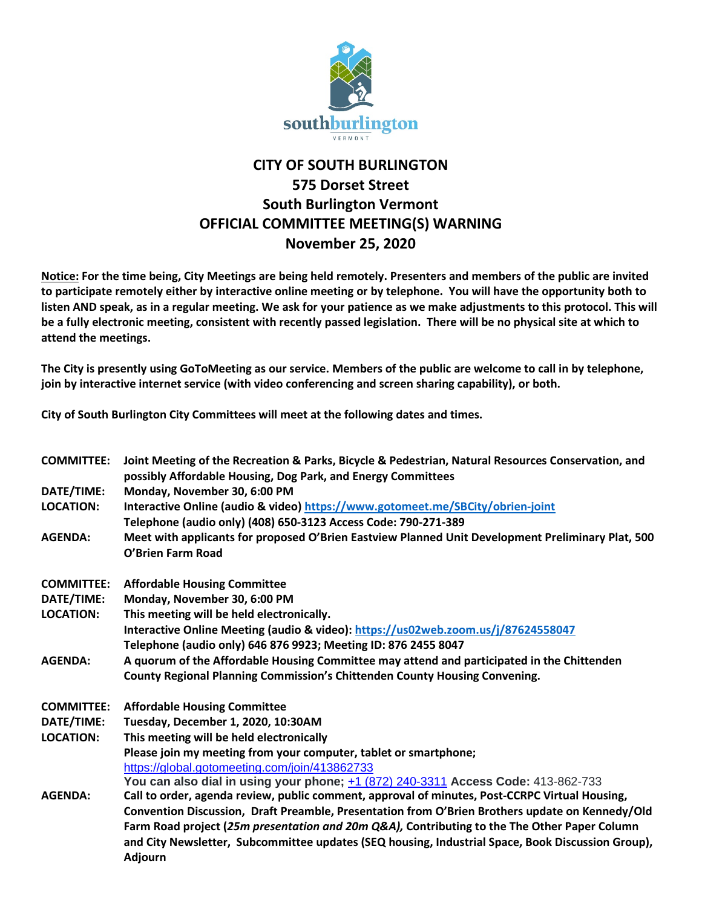

## **CITY OF SOUTH BURLINGTON 575 Dorset Street South Burlington Vermont OFFICIAL COMMITTEE MEETING(S) WARNING November 25, 2020**

**Notice: For the time being, City Meetings are being held remotely. Presenters and members of the public are invited to participate remotely either by interactive online meeting or by telephone. You will have the opportunity both to listen AND speak, as in a regular meeting. We ask for your patience as we make adjustments to this protocol. This will be a fully electronic meeting, consistent with recently passed legislation. There will be no physical site at which to attend the meetings.** 

**The City is presently using GoToMeeting as our service. Members of the public are welcome to call in by telephone, join by interactive internet service (with video conferencing and screen sharing capability), or both.**

**City of South Burlington City Committees will meet at the following dates and times.** 

| <b>COMMITTEE:</b> | Joint Meeting of the Recreation & Parks, Bicycle & Pedestrian, Natural Resources Conservation, and<br>possibly Affordable Housing, Dog Park, and Energy Committees |  |  |
|-------------------|--------------------------------------------------------------------------------------------------------------------------------------------------------------------|--|--|
| DATE/TIME:        | Monday, November 30, 6:00 PM                                                                                                                                       |  |  |
| <b>LOCATION:</b>  | Interactive Online (audio & video) https://www.gotomeet.me/SBCity/obrien-joint                                                                                     |  |  |
|                   | Telephone (audio only) (408) 650-3123 Access Code: 790-271-389                                                                                                     |  |  |
| <b>AGENDA:</b>    | Meet with applicants for proposed O'Brien Eastview Planned Unit Development Preliminary Plat, 500<br>O'Brien Farm Road                                             |  |  |
| <b>COMMITTEE:</b> | <b>Affordable Housing Committee</b>                                                                                                                                |  |  |
| DATE/TIME:        | Monday, November 30, 6:00 PM                                                                                                                                       |  |  |
| <b>LOCATION:</b>  | This meeting will be held electronically.                                                                                                                          |  |  |
|                   | Interactive Online Meeting (audio & video): https://us02web.zoom.us/j/87624558047                                                                                  |  |  |
|                   | Telephone (audio only) 646 876 9923; Meeting ID: 876 2455 8047                                                                                                     |  |  |
| <b>AGENDA:</b>    | A quorum of the Affordable Housing Committee may attend and participated in the Chittenden                                                                         |  |  |
|                   | County Regional Planning Commission's Chittenden County Housing Convening.                                                                                         |  |  |
| <b>COMMITTEE:</b> | <b>Affordable Housing Committee</b>                                                                                                                                |  |  |
| DATE/TIME:        | Tuesday, December 1, 2020, 10:30AM                                                                                                                                 |  |  |
| <b>LOCATION:</b>  | This meeting will be held electronically                                                                                                                           |  |  |
|                   | Please join my meeting from your computer, tablet or smartphone;                                                                                                   |  |  |
|                   | https://global.gotomeeting.com/join/413862733                                                                                                                      |  |  |
|                   | You can also dial in using your phone; $\pm 1$ (872) 240-3311 Access Code: 413-862-733                                                                             |  |  |
| <b>AGENDA:</b>    | Call to order, agenda review, public comment, approval of minutes, Post-CCRPC Virtual Housing,                                                                     |  |  |
|                   | Convention Discussion, Draft Preamble, Presentation from O'Brien Brothers update on Kennedy/Old                                                                    |  |  |
|                   | Farm Road project (25m presentation and 20m Q&A), Contributing to the The Other Paper Column                                                                       |  |  |
|                   | and City Newsletter, Subcommittee updates (SEQ housing, Industrial Space, Book Discussion Group),<br><b>Adjourn</b>                                                |  |  |